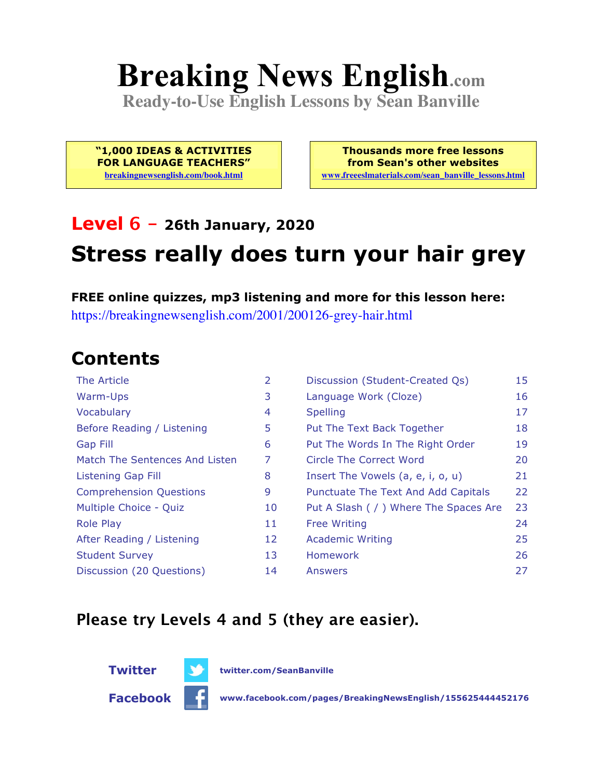# **Breaking News English.com**

**Ready-to-Use English Lessons by Sean Banville**

**"1,000 IDEAS & ACTIVITIES FOR LANGUAGE TEACHERS" breakingnewsenglish.com/book.html**

**Thousands more free lessons from Sean's other websites www.freeeslmaterials.com/sean\_banville\_lessons.html**

## **Level 6 - 26th January, 2020 Stress really does turn your hair grey**

**FREE online quizzes, mp3 listening and more for this lesson here:** https://breakingnewsenglish.com/2001/200126-grey-hair.html

### **Contents**

| The Article                    | $\overline{2}$ | Discussion (Student-Created Qs)        | 15 |
|--------------------------------|----------------|----------------------------------------|----|
| Warm-Ups                       | 3              | Language Work (Cloze)                  | 16 |
| Vocabulary                     | 4              | <b>Spelling</b>                        | 17 |
| Before Reading / Listening     | 5              | Put The Text Back Together             | 18 |
| <b>Gap Fill</b>                | 6              | Put The Words In The Right Order       | 19 |
| Match The Sentences And Listen | 7              | Circle The Correct Word                | 20 |
| Listening Gap Fill             | 8              | Insert The Vowels (a, e, i, o, u)      | 21 |
| <b>Comprehension Questions</b> | 9              | Punctuate The Text And Add Capitals    | 22 |
| Multiple Choice - Quiz         | 10             | Put A Slash ( / ) Where The Spaces Are | 23 |
| <b>Role Play</b>               | 11             | <b>Free Writing</b>                    | 24 |
| After Reading / Listening      | 12             | <b>Academic Writing</b>                | 25 |
| <b>Student Survey</b>          | 13             | <b>Homework</b>                        | 26 |
| Discussion (20 Questions)      | 14             | Answers                                | 27 |

#### **Please try Levels 4 and 5 (they are easier).**



**Twitter twitter.com/SeanBanville**

**Facebook www.facebook.com/pages/BreakingNewsEnglish/155625444452176**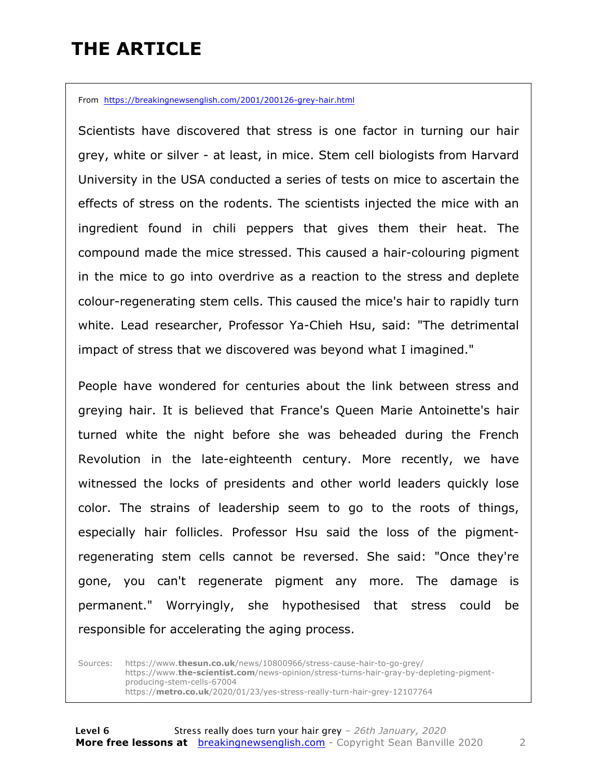### **THE ARTICLE**

From https://breakingnewsenglish.com/2001/200126-grey-hair.html

Scientists have discovered that stress is one factor in turning our hair grey, white or silver - at least, in mice. Stem cell biologists from Harvard University in the USA conducted a series of tests on mice to ascertain the effects of stress on the rodents. The scientists injected the mice with an ingredient found in chili peppers that gives them their heat. The compound made the mice stressed. This caused a hair-colouring pigment in the mice to go into overdrive as a reaction to the stress and deplete colour-regenerating stem cells. This caused the mice's hair to rapidly turn white. Lead researcher, Professor Ya-Chieh Hsu, said: "The detrimental impact of stress that we discovered was beyond what I imagined."

People have wondered for centuries about the link between stress and greying hair. It is believed that France's Queen Marie Antoinette's hair turned white the night before she was beheaded during the French Revolution in the late-eighteenth century. More recently, we have witnessed the locks of presidents and other world leaders quickly lose color. The strains of leadership seem to go to the roots of things, especially hair follicles. Professor Hsu said the loss of the pigmentregenerating stem cells cannot be reversed. She said: "Once they're gone, you can't regenerate pigment any more. The damage is permanent." Worryingly, she hypothesised that stress could be responsible for accelerating the aging process.

Sources: https://www.**thesun.co.uk**/news/10800966/stress-cause-hair-to-go-grey/ https://www.**the-scientist.com**/news-opinion/stress-turns-hair-gray-by-depleting-pigmentproducing-stem-cells-67004 https://**metro.co.uk**/2020/01/23/yes-stress-really-turn-hair-grey-12107764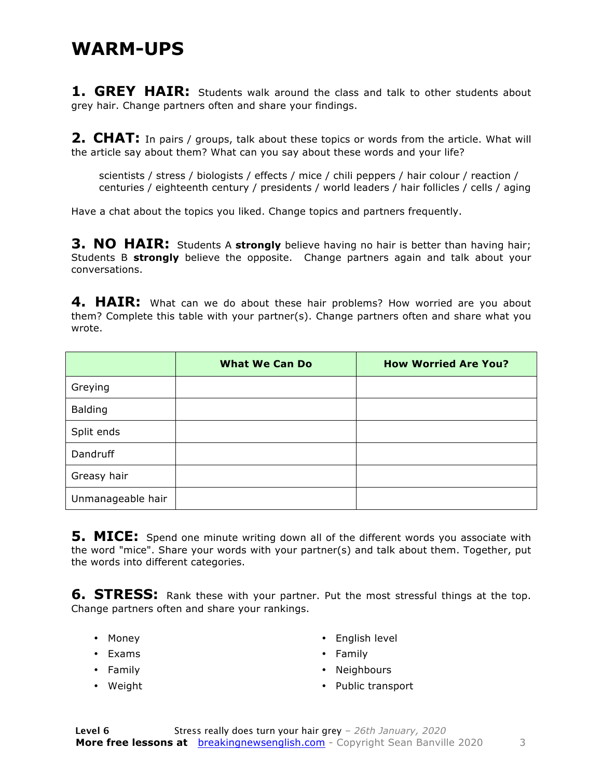#### **WARM-UPS**

**1. GREY HAIR:** Students walk around the class and talk to other students about grey hair. Change partners often and share your findings.

**2. CHAT:** In pairs / groups, talk about these topics or words from the article. What will the article say about them? What can you say about these words and your life?

scientists / stress / biologists / effects / mice / chili peppers / hair colour / reaction / centuries / eighteenth century / presidents / world leaders / hair follicles / cells / aging

Have a chat about the topics you liked. Change topics and partners frequently.

**3. NO HAIR:** Students A strongly believe having no hair is better than having hair; Students B **strongly** believe the opposite. Change partners again and talk about your conversations.

**4. HAIR:** What can we do about these hair problems? How worried are you about them? Complete this table with your partner(s). Change partners often and share what you wrote.

|                   | <b>What We Can Do</b> | <b>How Worried Are You?</b> |
|-------------------|-----------------------|-----------------------------|
| Greying           |                       |                             |
| <b>Balding</b>    |                       |                             |
| Split ends        |                       |                             |
| Dandruff          |                       |                             |
| Greasy hair       |                       |                             |
| Unmanageable hair |                       |                             |

**5. MICE:** Spend one minute writing down all of the different words you associate with the word "mice". Share your words with your partner(s) and talk about them. Together, put the words into different categories.

**6. STRESS:** Rank these with your partner. Put the most stressful things at the top. Change partners often and share your rankings.

- Money
- Exams
- Family
- Weight
- English level
- Family
- Neighbours
- Public transport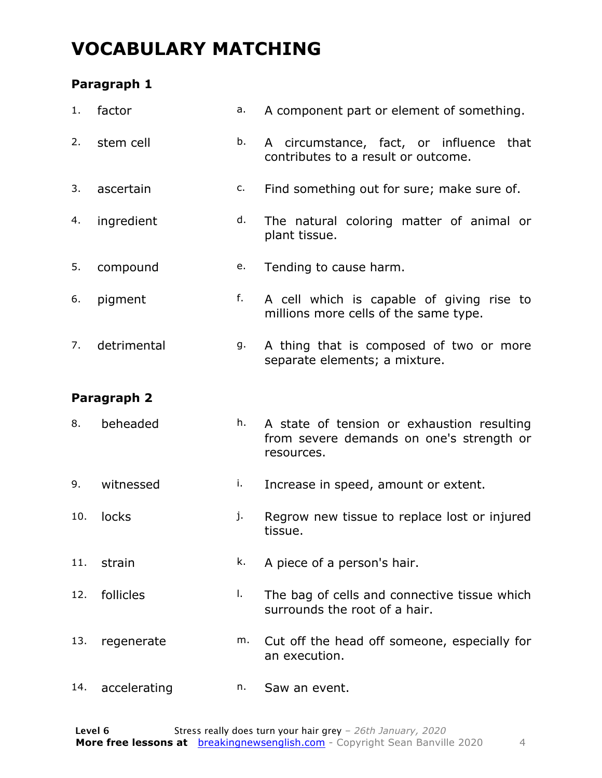### **VOCABULARY MATCHING**

#### **Paragraph 1**

| 1.  | factor      | a. | A component part or element of something.                                                            |
|-----|-------------|----|------------------------------------------------------------------------------------------------------|
| 2.  | stem cell   | b. | A circumstance, fact, or influence that<br>contributes to a result or outcome.                       |
| 3.  | ascertain   | c. | Find something out for sure; make sure of.                                                           |
| 4.  | ingredient  | d. | The natural coloring matter of animal or<br>plant tissue.                                            |
| 5.  | compound    | e. | Tending to cause harm.                                                                               |
| 6.  | pigment     | f. | A cell which is capable of giving rise to<br>millions more cells of the same type.                   |
| 7.  | detrimental | g. | A thing that is composed of two or more<br>separate elements; a mixture.                             |
|     | Paragraph 2 |    |                                                                                                      |
| 8.  | beheaded    | h. | A state of tension or exhaustion resulting<br>from severe demands on one's strength or<br>resources. |
| 9.  | witnessed   | i. | Increase in speed, amount or extent.                                                                 |
| 10. | locks       | j. | Regrow new tissue to replace lost or injured<br>tissue.                                              |
| 11. | strain      | k. | A piece of a person's hair.                                                                          |
| 12. | follicles   | Ι. | The bag of cells and connective tissue which<br>surrounds the root of a hair.                        |
| 13. | regenerate  | m. | Cut off the head off someone, especially for<br>an execution.                                        |
|     |             |    |                                                                                                      |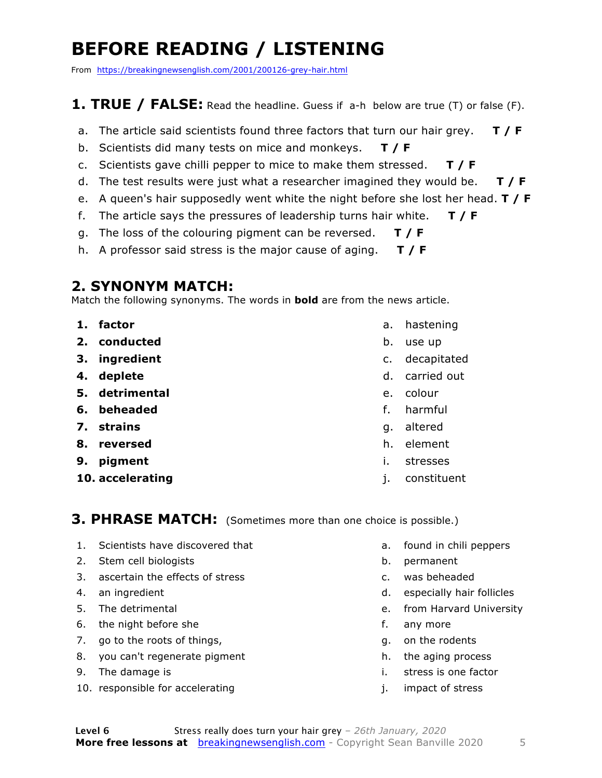### **BEFORE READING / LISTENING**

From https://breakingnewsenglish.com/2001/200126-grey-hair.html

#### **1. TRUE / FALSE:** Read the headline. Guess if a-h below are true (T) or false (F).

- a. The article said scientists found three factors that turn our hair grey. **T / F**
- b. Scientists did many tests on mice and monkeys. **T / F**
- c. Scientists gave chilli pepper to mice to make them stressed. **T / F**
- d. The test results were just what a researcher imagined they would be. **T / F**
- e. A queen's hair supposedly went white the night before she lost her head. **T / F**
- f. The article says the pressures of leadership turns hair white. **T / F**
- g. The loss of the colouring pigment can be reversed. **T / F**
- h. A professor said stress is the major cause of aging. **T / F**

#### **2. SYNONYM MATCH:**

Match the following synonyms. The words in **bold** are from the news article.

- **1. factor**
- **2. conducted**
- **3. ingredient**
- **4. deplete**
- **5. detrimental**
- **6. beheaded**
- **7. strains**
- **8. reversed**
- **9. pigment**
- **10. accelerating**
- a. hastening
- b. use up
- c. decapitated
- d. carried out
- e. colour
- f. harmful
- g. altered
- h. element
- i. stresses
- j. constituent

#### **3. PHRASE MATCH:** (Sometimes more than one choice is possible.)

- 1. Scientists have discovered that
- 2. Stem cell biologists
- 3. ascertain the effects of stress
- 4. an ingredient
- 5. The detrimental
- 6. the night before she
- 7. go to the roots of things,
- 8. you can't regenerate pigment
- 9. The damage is
- 10. responsible for accelerating
- a. found in chili peppers
- b. permanent
- c. was beheaded
- d. especially hair follicles
- e. from Harvard University
- f. any more
- g. on the rodents
- h. the aging process
- i. stress is one factor
- j. impact of stress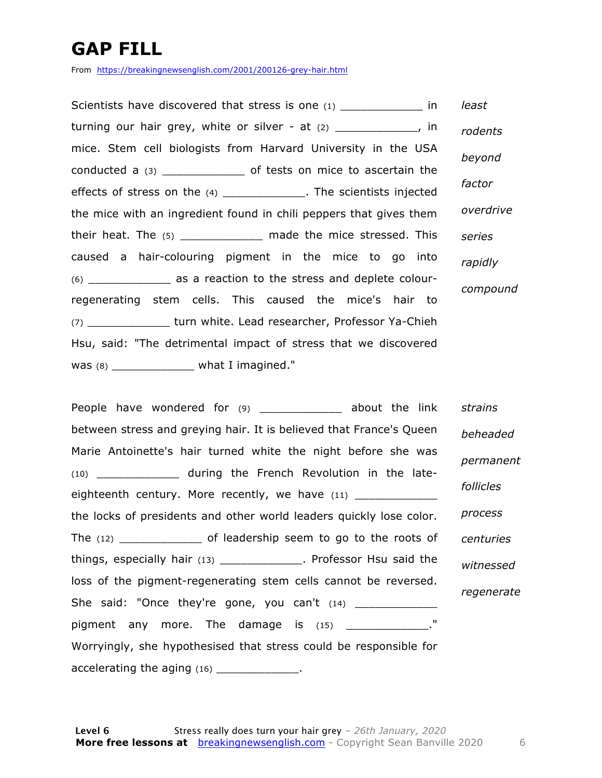### **GAP FILL**

From https://breakingnewsenglish.com/2001/200126-grey-hair.html

Scientists have discovered that stress is one (1) The linear in turning our hair grey, white or silver - at  $(2)$  \_\_\_\_\_\_\_\_\_\_\_, in mice. Stem cell biologists from Harvard University in the USA conducted a (3) \_\_\_\_\_\_\_\_\_\_\_\_ of tests on mice to ascertain the effects of stress on the (4) \_\_\_\_\_\_\_\_\_\_\_\_\_\_. The scientists injected the mice with an ingredient found in chili peppers that gives them their heat. The (5) contained the mice stressed. This caused a hair-colouring pigment in the mice to go into (6) \_\_\_\_\_\_\_\_\_\_\_\_ as a reaction to the stress and deplete colourregenerating stem cells. This caused the mice's hair to (7) \_\_\_\_\_\_\_\_\_\_\_\_ turn white. Lead researcher, Professor Ya-Chieh Hsu, said: "The detrimental impact of stress that we discovered was (8) \_\_\_\_\_\_\_\_\_\_\_\_ what I imagined." *least rodents beyond factor overdrive series rapidly compound*

People have wondered for (9) \_\_\_\_\_\_\_\_\_\_\_\_\_\_ about the link between stress and greying hair. It is believed that France's Queen Marie Antoinette's hair turned white the night before she was (10) \_\_\_\_\_\_\_\_\_\_\_\_ during the French Revolution in the lateeighteenth century. More recently, we have  $(11)$ the locks of presidents and other world leaders quickly lose color. The (12) \_\_\_\_\_\_\_\_\_\_\_\_ of leadership seem to go to the roots of things, especially hair (13) \_\_\_\_\_\_\_\_\_\_\_\_. Professor Hsu said the loss of the pigment-regenerating stem cells cannot be reversed. She said: "Once they're gone, you can't (14) pigment any more. The damage is  $(15)$  \_\_\_\_\_\_\_\_\_\_\_\_\_." Worryingly, she hypothesised that stress could be responsible for accelerating the aging  $(16)$  \_\_\_\_\_\_\_\_\_\_\_\_\_\_. *strains beheaded permanent follicles process centuries witnessed regenerate*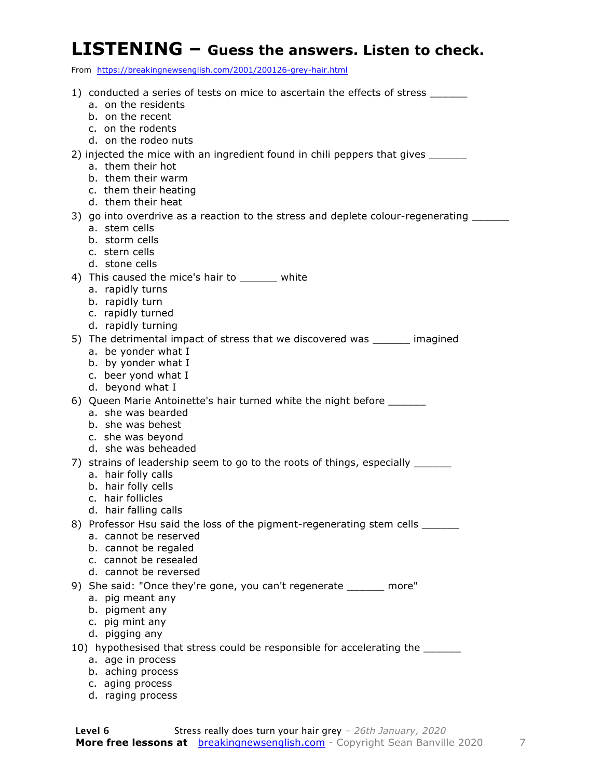#### **LISTENING – Guess the answers. Listen to check.**

From https://breakingnewsenglish.com/2001/200126-grey-hair.html

| 1) conducted a series of tests on mice to ascertain the effects of stress               |
|-----------------------------------------------------------------------------------------|
| a. on the residents                                                                     |
| b. on the recent                                                                        |
| c. on the rodents                                                                       |
| d. on the rodeo nuts                                                                    |
| 2) injected the mice with an ingredient found in chili peppers that gives ______        |
| a. them their hot                                                                       |
| b. them their warm                                                                      |
| c. them their heating                                                                   |
| d. them their heat                                                                      |
| 3) go into overdrive as a reaction to the stress and deplete colour-regenerating ______ |
| a. stem cells                                                                           |
| b. storm cells                                                                          |
| c. stern cells                                                                          |
| d. stone cells                                                                          |
| 4) This caused the mice's hair to _______ white                                         |
|                                                                                         |
| a. rapidly turns<br>b. rapidly turn                                                     |
|                                                                                         |
| c. rapidly turned<br>d. rapidly turning                                                 |
|                                                                                         |
| 5) The detrimental impact of stress that we discovered was _______ imagined             |
| a. be yonder what I                                                                     |
| b. by yonder what I                                                                     |
| c. beer yond what I                                                                     |
| d. beyond what I                                                                        |
| 6) Queen Marie Antoinette's hair turned white the night before _______                  |
| a. she was bearded                                                                      |
| b. she was behest                                                                       |
| c. she was beyond                                                                       |
| d. she was beheaded                                                                     |
| 7) strains of leadership seem to go to the roots of things, especially _________        |
| a. hair folly calls                                                                     |
| b. hair folly cells                                                                     |
| c. hair follicles                                                                       |
| d. hair falling calls                                                                   |
| 8) Professor Hsu said the loss of the pigment-regenerating stem cells _______           |
| a. cannot be reserved                                                                   |
| b. cannot be regaled                                                                    |
| c. cannot be resealed                                                                   |
| d. cannot be reversed                                                                   |
| 9) She said: "Once they're gone, you can't regenerate ______ more"                      |
| a. pig meant any                                                                        |
| b. pigment any                                                                          |
| c. pig mint any                                                                         |
| d. pigging any                                                                          |
| 10) hypothesised that stress could be responsible for accelerating the _______          |
| a. age in process                                                                       |
| b. aching process                                                                       |
| c. aging process                                                                        |
| d. raging process                                                                       |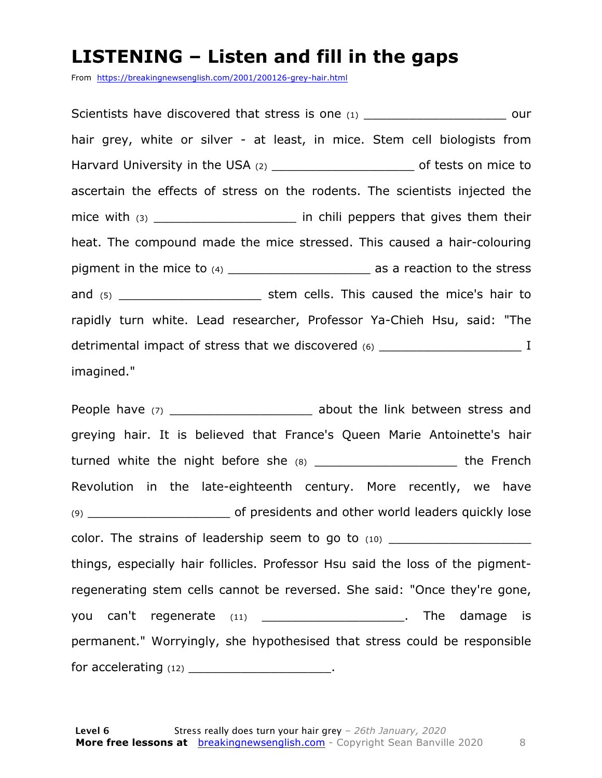#### **LISTENING – Listen and fill in the gaps**

From https://breakingnewsenglish.com/2001/200126-grey-hair.html

Scientists have discovered that stress is one (1) our courhair grey, white or silver - at least, in mice. Stem cell biologists from Harvard University in the USA (2) \_\_\_\_\_\_\_\_\_\_\_\_\_\_\_\_\_\_\_ of tests on mice to ascertain the effects of stress on the rodents. The scientists injected the mice with (3) \_\_\_\_\_\_\_\_\_\_\_\_\_\_\_\_\_\_\_\_\_\_\_\_ in chili peppers that gives them their heat. The compound made the mice stressed. This caused a hair-colouring pigment in the mice to (4) \_\_\_\_\_\_\_\_\_\_\_\_\_\_\_\_\_\_\_ as a reaction to the stress and (5) \_\_\_\_\_\_\_\_\_\_\_\_\_\_\_\_\_\_\_\_\_\_\_\_\_\_\_ stem cells. This caused the mice's hair to rapidly turn white. Lead researcher, Professor Ya-Chieh Hsu, said: "The detrimental impact of stress that we discovered (6)  $\qquad \qquad$  I imagined."

People have (7) \_\_\_\_\_\_\_\_\_\_\_\_\_\_\_\_\_\_\_\_\_\_\_\_\_ about the link between stress and greying hair. It is believed that France's Queen Marie Antoinette's hair turned white the night before she (8) \_\_\_\_\_\_\_\_\_\_\_\_\_\_\_\_\_\_\_\_\_\_\_\_ the French Revolution in the late-eighteenth century. More recently, we have (9) \_\_\_\_\_\_\_\_\_\_\_\_\_\_\_\_\_\_\_ of presidents and other world leaders quickly lose color. The strains of leadership seem to go to  $(10)$ things, especially hair follicles. Professor Hsu said the loss of the pigmentregenerating stem cells cannot be reversed. She said: "Once they're gone, you can't regenerate (11) and the setting of the damage is permanent." Worryingly, she hypothesised that stress could be responsible for accelerating  $(12)$  \_\_\_\_\_\_\_\_\_\_\_\_\_\_\_\_\_\_\_\_\_\_.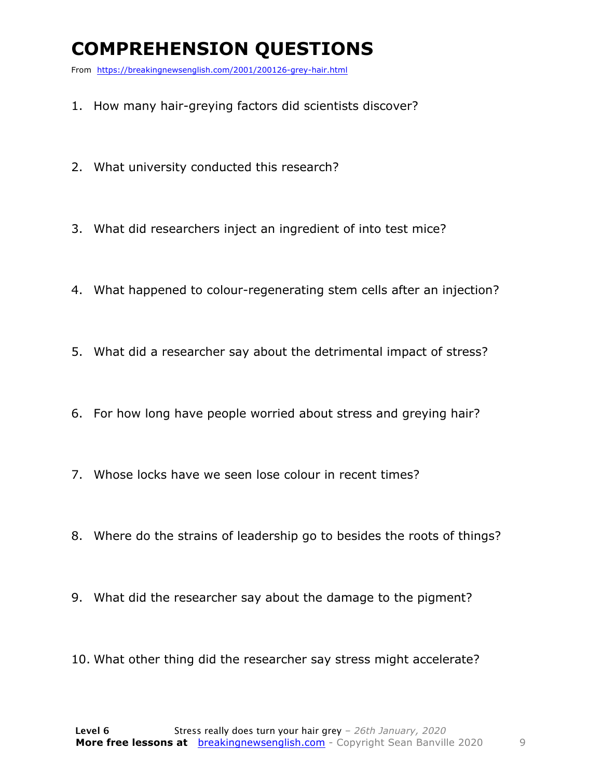### **COMPREHENSION QUESTIONS**

From https://breakingnewsenglish.com/2001/200126-grey-hair.html

- 1. How many hair-greying factors did scientists discover?
- 2. What university conducted this research?
- 3. What did researchers inject an ingredient of into test mice?
- 4. What happened to colour-regenerating stem cells after an injection?
- 5. What did a researcher say about the detrimental impact of stress?
- 6. For how long have people worried about stress and greying hair?
- 7. Whose locks have we seen lose colour in recent times?
- 8. Where do the strains of leadership go to besides the roots of things?
- 9. What did the researcher say about the damage to the pigment?
- 10. What other thing did the researcher say stress might accelerate?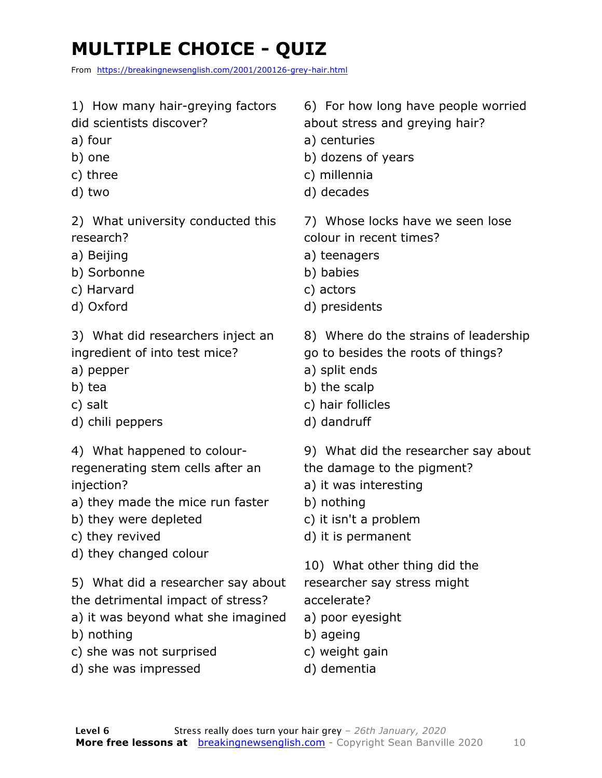### **MULTIPLE CHOICE - QUIZ**

From https://breakingnewsenglish.com/2001/200126-grey-hair.html

1) How many hair-greying factors

did scientists discover?

- a) four
- b) one
- c) three
- d) two

2) What university conducted this research?

- a) Beijing
- b) Sorbonne
- c) Harvard
- d) Oxford

3) What did researchers inject an ingredient of into test mice?

- a) pepper
- b) tea
- c) salt
- d) chili peppers
- 4) What happened to colourregenerating stem cells after an

injection?

- a) they made the mice run faster
- b) they were depleted
- c) they revived
- d) they changed colour

5) What did a researcher say about the detrimental impact of stress?

- a) it was beyond what she imagined
- b) nothing
- c) she was not surprised
- d) she was impressed

6) For how long have people worried about stress and greying hair?

- a) centuries
- b) dozens of years
- c) millennia
- d) decades

7) Whose locks have we seen lose colour in recent times?

- a) teenagers
- b) babies
- c) actors
- d) presidents
- 8) Where do the strains of leadership
- go to besides the roots of things?
- a) split ends
- b) the scalp
- c) hair follicles
- d) dandruff
- 9) What did the researcher say about
- the damage to the pigment?
- a) it was interesting
- b) nothing
- c) it isn't a problem
- d) it is permanent

10) What other thing did the researcher say stress might accelerate?

- a) poor eyesight
- b) ageing
- c) weight gain
- d) dementia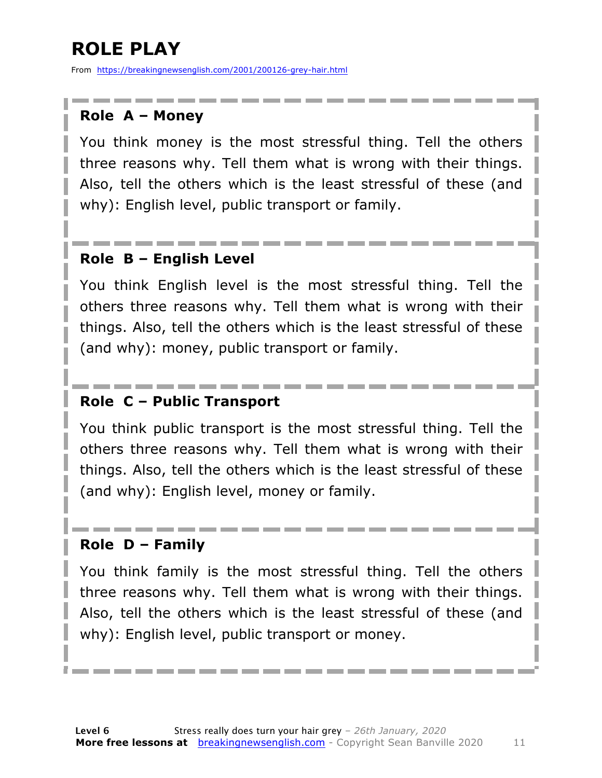### **ROLE PLAY**

From https://breakingnewsenglish.com/2001/200126-grey-hair.html

#### **Role A – Money**

You think money is the most stressful thing. Tell the others three reasons why. Tell them what is wrong with their things. Also, tell the others which is the least stressful of these (and why): English level, public transport or family.

#### **Role B – English Level**

You think English level is the most stressful thing. Tell the others three reasons why. Tell them what is wrong with their things. Also, tell the others which is the least stressful of these (and why): money, public transport or family.

#### **Role C – Public Transport**

You think public transport is the most stressful thing. Tell the others three reasons why. Tell them what is wrong with their things. Also, tell the others which is the least stressful of these (and why): English level, money or family.

#### **Role D – Family**

You think family is the most stressful thing. Tell the others three reasons why. Tell them what is wrong with their things. Also, tell the others which is the least stressful of these (and why): English level, public transport or money.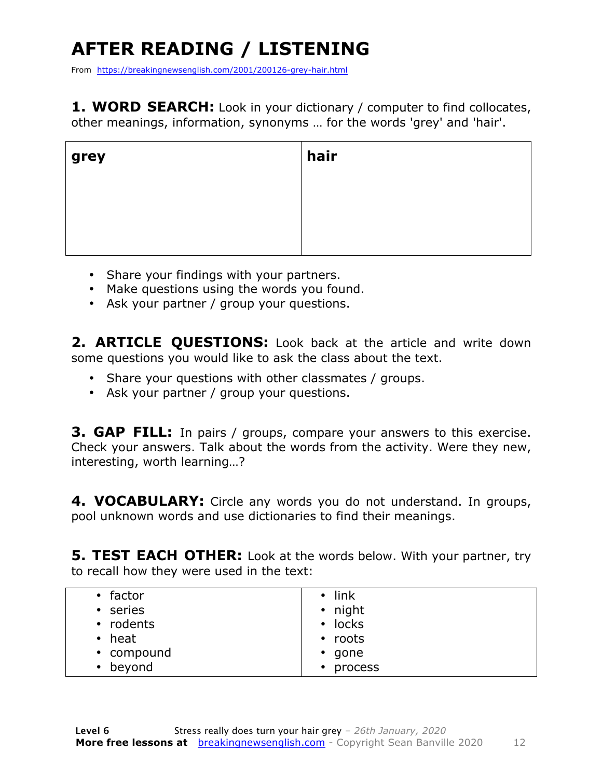### **AFTER READING / LISTENING**

From https://breakingnewsenglish.com/2001/200126-grey-hair.html

1. WORD SEARCH: Look in your dictionary / computer to find collocates, other meanings, information, synonyms … for the words 'grey' and 'hair'.

| grey | hair |
|------|------|
|      |      |
|      |      |
|      |      |

- Share your findings with your partners.
- Make questions using the words you found.
- Ask your partner / group your questions.

**2. ARTICLE QUESTIONS:** Look back at the article and write down some questions you would like to ask the class about the text.

- Share your questions with other classmates / groups.
- Ask your partner / group your questions.

**3. GAP FILL:** In pairs / groups, compare your answers to this exercise. Check your answers. Talk about the words from the activity. Were they new, interesting, worth learning…?

**4. VOCABULARY:** Circle any words you do not understand. In groups, pool unknown words and use dictionaries to find their meanings.

**5. TEST EACH OTHER:** Look at the words below. With your partner, try to recall how they were used in the text:

| $\cdot$ link |
|--------------|
| • night      |
| • locks      |
| • roots      |
| $\cdot$ gone |
| • process    |
|              |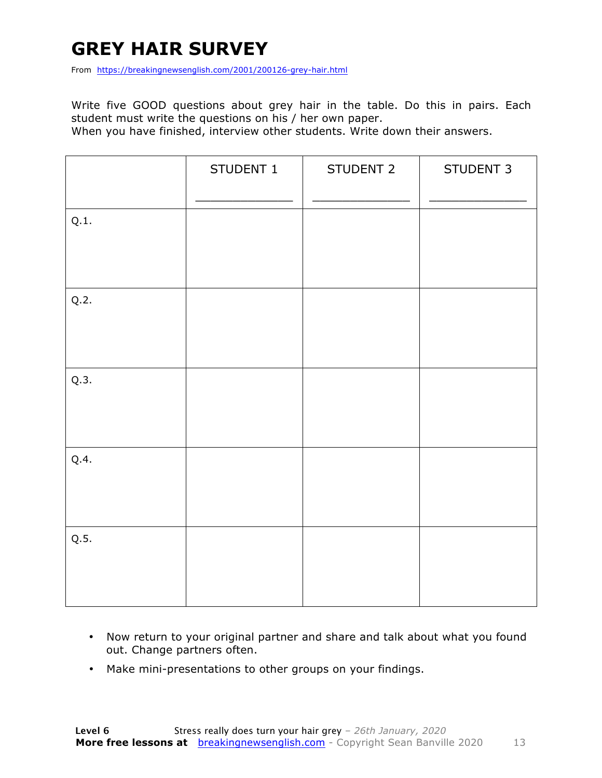### **GREY HAIR SURVEY**

From https://breakingnewsenglish.com/2001/200126-grey-hair.html

Write five GOOD questions about grey hair in the table. Do this in pairs. Each student must write the questions on his / her own paper.

When you have finished, interview other students. Write down their answers.

|      | STUDENT 1 | STUDENT 2 | STUDENT 3 |
|------|-----------|-----------|-----------|
| Q.1. |           |           |           |
| Q.2. |           |           |           |
| Q.3. |           |           |           |
| Q.4. |           |           |           |
| Q.5. |           |           |           |

- Now return to your original partner and share and talk about what you found out. Change partners often.
- Make mini-presentations to other groups on your findings.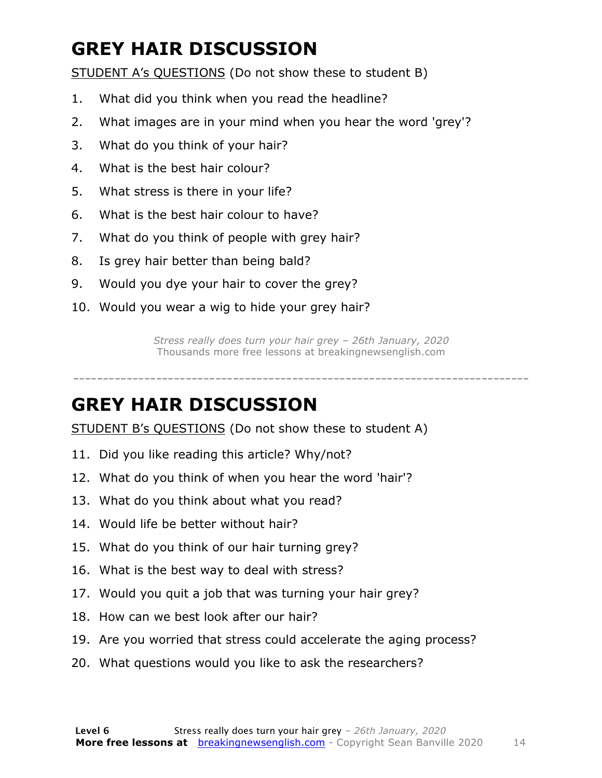### **GREY HAIR DISCUSSION**

STUDENT A's QUESTIONS (Do not show these to student B)

- 1. What did you think when you read the headline?
- 2. What images are in your mind when you hear the word 'grey'?
- 3. What do you think of your hair?
- 4. What is the best hair colour?
- 5. What stress is there in your life?
- 6. What is the best hair colour to have?
- 7. What do you think of people with grey hair?
- 8. Is grey hair better than being bald?
- 9. Would you dye your hair to cover the grey?
- 10. Would you wear a wig to hide your grey hair?

*Stress really does turn your hair grey – 26th January, 2020* Thousands more free lessons at breakingnewsenglish.com

-----------------------------------------------------------------------------

#### **GREY HAIR DISCUSSION**

STUDENT B's QUESTIONS (Do not show these to student A)

- 11. Did you like reading this article? Why/not?
- 12. What do you think of when you hear the word 'hair'?
- 13. What do you think about what you read?
- 14. Would life be better without hair?
- 15. What do you think of our hair turning grey?
- 16. What is the best way to deal with stress?
- 17. Would you quit a job that was turning your hair grey?
- 18. How can we best look after our hair?
- 19. Are you worried that stress could accelerate the aging process?
- 20. What questions would you like to ask the researchers?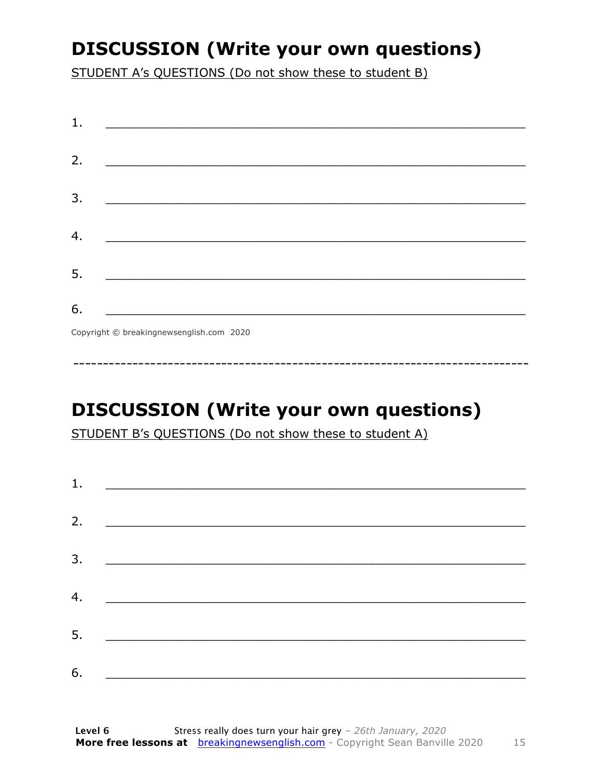### **DISCUSSION (Write your own questions)**

STUDENT A's QUESTIONS (Do not show these to student B)

| 1. |                                                                                                                                                                                                                                      |  |  |
|----|--------------------------------------------------------------------------------------------------------------------------------------------------------------------------------------------------------------------------------------|--|--|
| 2. |                                                                                                                                                                                                                                      |  |  |
| 3. |                                                                                                                                                                                                                                      |  |  |
|    |                                                                                                                                                                                                                                      |  |  |
| 4. | <u> 1989 - Johann John Stone, mars eta biztanleria (h. 1989).</u>                                                                                                                                                                    |  |  |
| 5. | <u> 1989 - Johann Stoff, deutscher Stoffen und der Stoffen und der Stoffen und der Stoffen und der Stoffen und der Stoffen und der Stoffen und der Stoffen und der Stoffen und der Stoffen und der Stoffen und der Stoffen und d</u> |  |  |
| 6. |                                                                                                                                                                                                                                      |  |  |

Copyright © breakingnewsenglish.com 2020

### **DISCUSSION (Write your own questions)**

STUDENT B's QUESTIONS (Do not show these to student A)

| 1. | <u> 1980 - Andrea Andrew Maria (h. 1980).</u>                                                                        |  |
|----|----------------------------------------------------------------------------------------------------------------------|--|
|    |                                                                                                                      |  |
| 2. |                                                                                                                      |  |
| 3. |                                                                                                                      |  |
| 4. | <u> 1980 - Jan Stein Stein, fransk politik amerikansk politik (</u>                                                  |  |
|    |                                                                                                                      |  |
| 5. | <u> 1989 - Jan Stein Stein, syn y brûn yn it sjin stiet fan it ferstjer fan it ferstjer fan it ferstjer fan it f</u> |  |
| 6. | <u> 1980 - Jan Barbarat, martin amerikan basar dan bagi dan bagi dalam basar dalam bagi dalam bagi dalam bagi da</u> |  |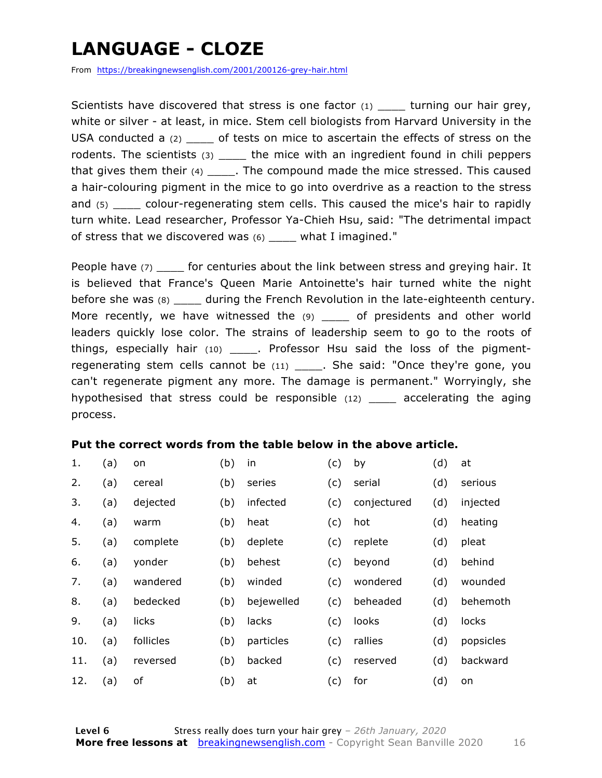### **LANGUAGE - CLOZE**

From https://breakingnewsenglish.com/2001/200126-grey-hair.html

Scientists have discovered that stress is one factor  $(1)$  turning our hair grey, white or silver - at least, in mice. Stem cell biologists from Harvard University in the USA conducted a (2) \_\_\_\_\_ of tests on mice to ascertain the effects of stress on the rodents. The scientists  $(3)$  \_\_\_\_ the mice with an ingredient found in chili peppers that gives them their  $(4)$  \_\_\_\_\_. The compound made the mice stressed. This caused a hair-colouring pigment in the mice to go into overdrive as a reaction to the stress and (5) \_\_\_\_ colour-regenerating stem cells. This caused the mice's hair to rapidly turn white. Lead researcher, Professor Ya-Chieh Hsu, said: "The detrimental impact of stress that we discovered was (6) \_\_\_\_ what I imagined."

People have (7) for centuries about the link between stress and greying hair. It is believed that France's Queen Marie Antoinette's hair turned white the night before she was (8) \_\_\_\_ during the French Revolution in the late-eighteenth century. More recently, we have witnessed the (9) \_\_\_\_ of presidents and other world leaders quickly lose color. The strains of leadership seem to go to the roots of things, especially hair (10) \_\_\_\_. Professor Hsu said the loss of the pigmentregenerating stem cells cannot be (11) \_\_\_\_\_. She said: "Once they're gone, you can't regenerate pigment any more. The damage is permanent." Worryingly, she hypothesised that stress could be responsible (12) \_\_\_\_ accelerating the aging process.

#### **Put the correct words from the table below in the above article.**

| 1.  | (a) | on        | (b) | in         | (c) | by          | (d) | at        |
|-----|-----|-----------|-----|------------|-----|-------------|-----|-----------|
| 2.  | (a) | cereal    | (b) | series     | (c) | serial      | (d) | serious   |
| 3.  | (a) | dejected  | (b) | infected   | (c) | conjectured | (d) | injected  |
| 4.  | (a) | warm      | (b) | heat       | (c) | hot         | (d) | heating   |
| 5.  | (a) | complete  | (b) | deplete    | (c) | replete     | (d) | pleat     |
| 6.  | (a) | yonder    | (b) | behest     | (c) | beyond      | (d) | behind    |
| 7.  | (a) | wandered  | (b) | winded     | (c) | wondered    | (d) | wounded   |
| 8.  | (a) | bedecked  | (b) | bejewelled | (c) | beheaded    | (d) | behemoth  |
| 9.  | (a) | licks     | (b) | lacks      | (c) | looks       | (d) | locks     |
| 10. | (a) | follicles | (b) | particles  | (c) | rallies     | (d) | popsicles |
| 11. | (a) | reversed  | (b) | backed     | (c) | reserved    | (d) | backward  |
| 12. | (a) | of        | (b) | at         | (c) | for         | (d) | on        |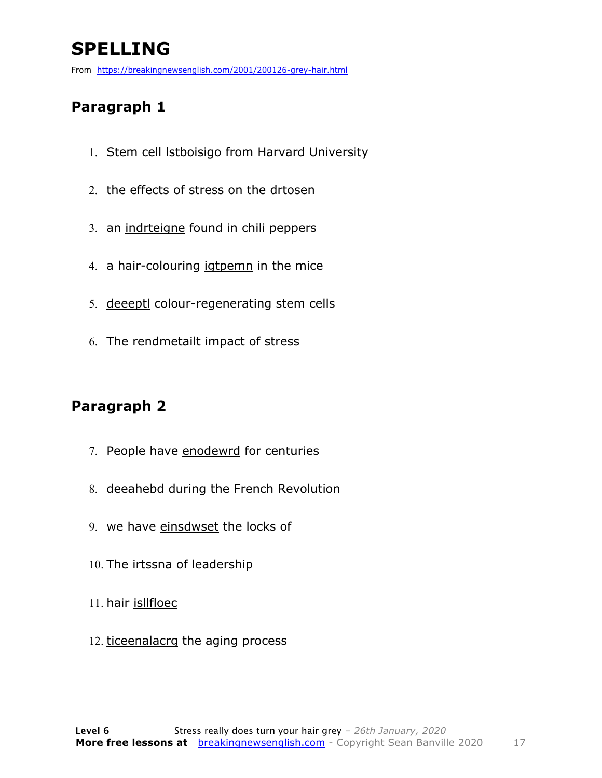### **SPELLING**

From https://breakingnewsenglish.com/2001/200126-grey-hair.html

#### **Paragraph 1**

- 1. Stem cell lstboisigo from Harvard University
- 2. the effects of stress on the drtosen
- 3. an indrteigne found in chili peppers
- 4. a hair-colouring igtpemn in the mice
- 5. deeeptl colour-regenerating stem cells
- 6. The rendmetailt impact of stress

#### **Paragraph 2**

- 7. People have enodewrd for centuries
- 8. deeahebd during the French Revolution
- 9. we have einsdwset the locks of
- 10. The irtssna of leadership
- 11. hair isllfloec
- 12. ticeenalacrg the aging process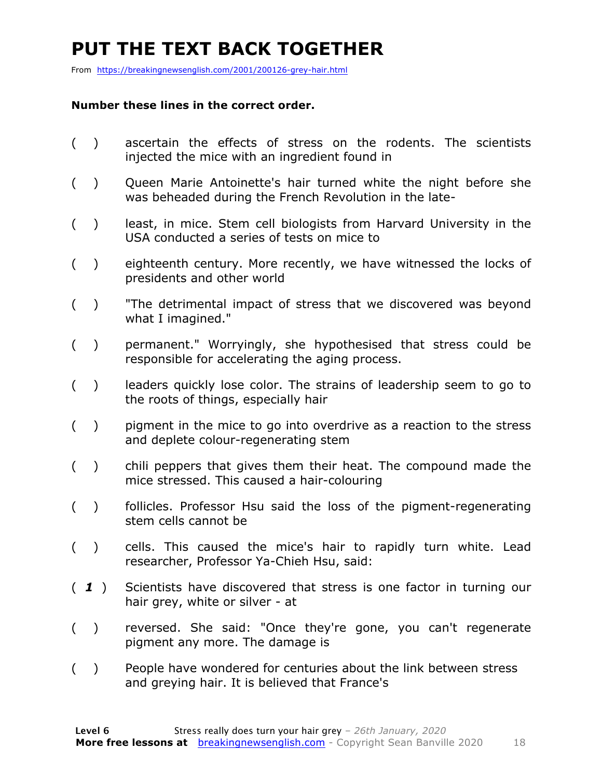### **PUT THE TEXT BACK TOGETHER**

From https://breakingnewsenglish.com/2001/200126-grey-hair.html

#### **Number these lines in the correct order.**

- ( ) ascertain the effects of stress on the rodents. The scientists injected the mice with an ingredient found in
- ( ) Queen Marie Antoinette's hair turned white the night before she was beheaded during the French Revolution in the late-
- ( ) least, in mice. Stem cell biologists from Harvard University in the USA conducted a series of tests on mice to
- ( ) eighteenth century. More recently, we have witnessed the locks of presidents and other world
- ( ) "The detrimental impact of stress that we discovered was beyond what I imagined."
- ( ) permanent." Worryingly, she hypothesised that stress could be responsible for accelerating the aging process.
- () leaders quickly lose color. The strains of leadership seem to go to the roots of things, especially hair
- $($ ) pigment in the mice to go into overdrive as a reaction to the stress and deplete colour-regenerating stem
- ( ) chili peppers that gives them their heat. The compound made the mice stressed. This caused a hair-colouring
- ( ) follicles. Professor Hsu said the loss of the pigment-regenerating stem cells cannot be
- ( ) cells. This caused the mice's hair to rapidly turn white. Lead researcher, Professor Ya-Chieh Hsu, said:
- ( *1* ) Scientists have discovered that stress is one factor in turning our hair grey, white or silver - at
- ( ) reversed. She said: "Once they're gone, you can't regenerate pigment any more. The damage is
- ( ) People have wondered for centuries about the link between stress and greying hair. It is believed that France's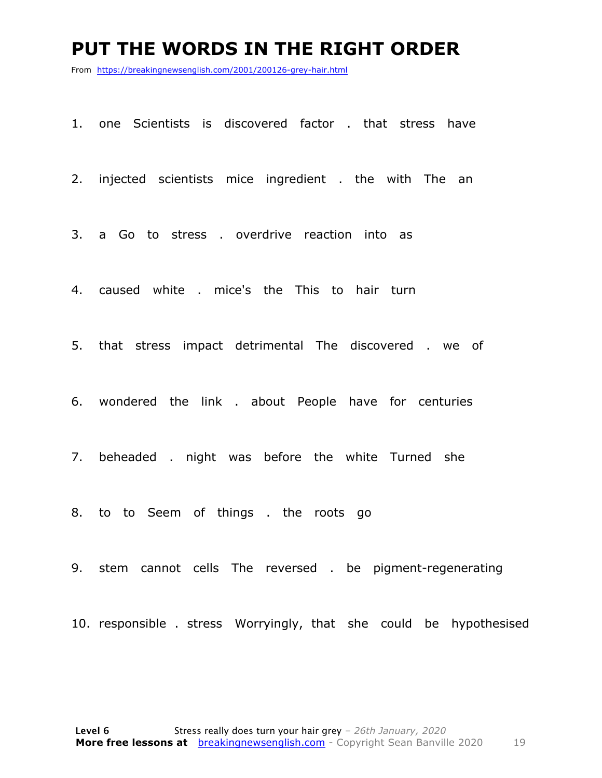#### **PUT THE WORDS IN THE RIGHT ORDER**

From https://breakingnewsenglish.com/2001/200126-grey-hair.html

1. one Scientists is discovered factor . that stress have

2. injected scientists mice ingredient . the with The an

3. a Go to stress . overdrive reaction into as

4. caused white . mice's the This to hair turn

5. that stress impact detrimental The discovered . we of

6. wondered the link . about People have for centuries

7. beheaded . night was before the white Turned she

8. to to Seem of things . the roots go

9. stem cannot cells The reversed . be pigment-regenerating

10. responsible . stress Worryingly, that she could be hypothesised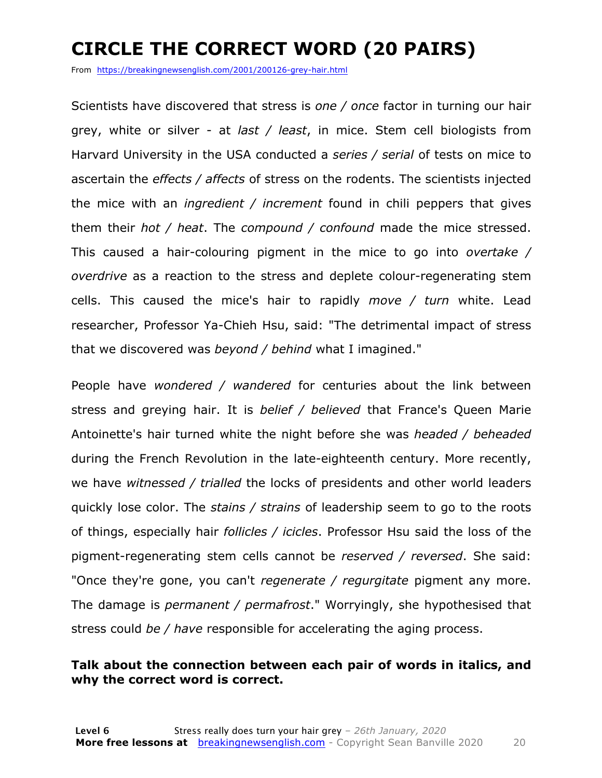### **CIRCLE THE CORRECT WORD (20 PAIRS)**

From https://breakingnewsenglish.com/2001/200126-grey-hair.html

Scientists have discovered that stress is *one / once* factor in turning our hair grey, white or silver - at *last / least*, in mice. Stem cell biologists from Harvard University in the USA conducted a *series / serial* of tests on mice to ascertain the *effects / affects* of stress on the rodents. The scientists injected the mice with an *ingredient / increment* found in chili peppers that gives them their *hot / heat*. The *compound / confound* made the mice stressed. This caused a hair-colouring pigment in the mice to go into *overtake / overdrive* as a reaction to the stress and deplete colour-regenerating stem cells. This caused the mice's hair to rapidly *move / turn* white. Lead researcher, Professor Ya-Chieh Hsu, said: "The detrimental impact of stress that we discovered was *beyond / behind* what I imagined."

People have *wondered / wandered* for centuries about the link between stress and greying hair. It is *belief / believed* that France's Queen Marie Antoinette's hair turned white the night before she was *headed / beheaded* during the French Revolution in the late-eighteenth century. More recently, we have *witnessed / trialled* the locks of presidents and other world leaders quickly lose color. The *stains / strains* of leadership seem to go to the roots of things, especially hair *follicles / icicles*. Professor Hsu said the loss of the pigment-regenerating stem cells cannot be *reserved / reversed*. She said: "Once they're gone, you can't *regenerate / regurgitate* pigment any more. The damage is *permanent / permafrost*." Worryingly, she hypothesised that stress could *be / have* responsible for accelerating the aging process.

#### **Talk about the connection between each pair of words in italics, and why the correct word is correct.**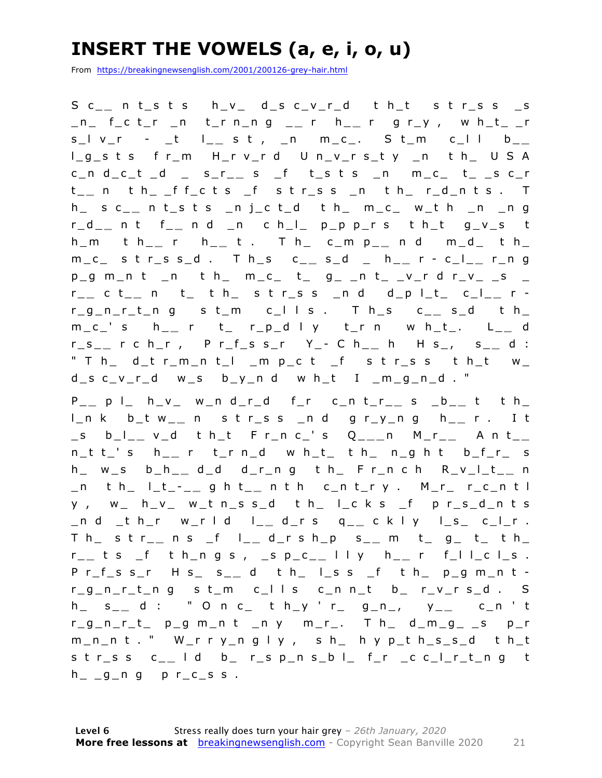### **INSERT THE VOWELS (a, e, i, o, u)**

From https://breakingnewsenglish.com/2001/200126-grey-hair.html

S c\_ **\_** n t\_s t s h\_v\_ d\_s c\_v\_r\_d t h\_t s t r\_s s \_s \_n\_ f\_c t\_r \_n t\_r n\_n g \_ **\_** r h\_ **\_** r g r\_y , w h\_t\_ \_r s\_l v\_r - \_t l\_ **\_** s t , \_n m\_c\_. S t\_m c\_l l b\_ **\_**  l\_g\_s t s f r\_m H\_r v\_r d U n\_v\_r s\_t y \_n t h\_ U S A c\_n d\_c\_ t \_ d \_ s\_r\_ **\_** s \_f t\_s t s \_n m\_c\_ t\_ \_s c\_r t \_ **\_** n t h\_ \_f f\_c t s \_f s t r\_s s \_n t h\_ r\_d\_n t s . T h\_ s c\_ **\_** n t\_s t s \_n j\_c t\_d t h\_ m\_c\_ w\_t h \_n \_n g r\_d\_ **\_** n t f\_ **\_** n d \_n c h\_l\_ p\_p p\_r s t h\_t g\_v\_s t h\_m t h\_ **\_** r h\_ **\_** t . T h\_ c\_m p\_ **\_** n d m\_d\_ t h\_ m\_c\_ s t r\_s s\_d . T h\_s c\_ **\_** s\_d \_ h\_ **\_** r - c\_l\_ **\_** r\_n g  $p\_g$  m\_n t \_n t h\_ m\_c\_ t\_ g\_ \_n t\_ \_v\_r d r\_v\_ \_s \_ r \_ **\_** c t\_ **\_** n t\_ t h\_ s t r\_s s \_n d d\_p l\_t\_ c\_l\_ **\_** r r\_g\_n\_r\_t\_n g s t\_m c\_l l s . T h\_s c\_ **\_** s \_ d t h\_ m\_c\_' s h\_ **\_** r t\_ r\_p\_d l y t\_r n w h\_t\_. L\_ **\_** d r\_s\_ **\_** r c h\_r , P r\_f\_s s\_r Y\_ - C h\_ **\_** h H s\_, s\_ **\_** d : " T h\_ d\_t r\_m\_n t\_l \_m p\_c t \_f s t r\_s s t h\_t w\_  $d$  s c\_v\_r\_d  $w$  s  $b$  y\_n d  $w$  h\_t I \_m\_g\_n\_d . "

P \_ **\_** p l\_ h\_v\_ w\_n d\_r\_d f\_r c\_n t\_r\_ **\_** s \_b\_ **\_** t t h\_ l\_n k b\_t w\_ **\_** n s t r\_s s \_n d g r\_y\_n g h\_ **\_** r . I t \_s b\_l\_ **\_** v\_d t h\_t F r\_n c\_' s Q\_ **\_ \_** n M\_r\_ **\_** A n t\_ **\_**  n\_t t\_' s h\_ **\_** r t\_r n\_d w h\_t\_ t h\_ n\_g h t b\_f\_r\_ s h\_ w\_s b\_h\_ **\_** d\_d d\_r\_n g t h\_ F r\_n c h R\_v\_l\_t\_ **\_** n \_n t h\_ l\_t\_ - \_ **\_** g h t\_ **\_** n t h c\_n t\_r y . M\_r\_ r\_c\_n t l y , w\_ h\_v\_ w\_t n\_s s\_d t h\_ l\_c k s \_f p r\_s\_d\_n t s \_n d \_t h\_r w\_r l d l\_ **\_** d\_r s q\_ **\_** c k l y l\_s\_ c\_l\_r . T h \_ s t r\_ **\_** n s \_f l\_ **\_** d\_r s h\_p s\_ **\_** m t\_ g\_ t\_ t h\_ r \_ **\_** t s \_f t h\_n g s , \_s p\_c\_ **\_** l l y h\_ **\_** r f\_l l\_c l\_s . P r\_f\_s s\_r H s\_ s\_ **\_** d t h\_ l\_s s \_f t h\_ p\_g m\_n t r\_g\_n\_r\_t\_n g s t\_m c\_l l s c\_n n\_t b\_ r\_v\_r s\_d . S h\_ s\_ **\_** d : " O n c\_ t h\_y ' r\_ g\_n\_, y\_ **\_** c\_n ' t  $r_g$ \_n\_r\_t\_  $p_g$  m\_n t \_n y m\_r\_. T h\_ d\_m\_g\_ \_s p\_r m\_n\_n t . " W\_r r y\_n g l y , s h\_ h y p\_t h\_s\_s\_d t h\_t s t r\_s s c\_ **\_** l d b\_ r\_s p\_n s\_b l\_ f\_r \_c c\_l\_r\_t\_n g t  $h_{-}$   $g_{-}n$  g p r  $c_{-}$ s s .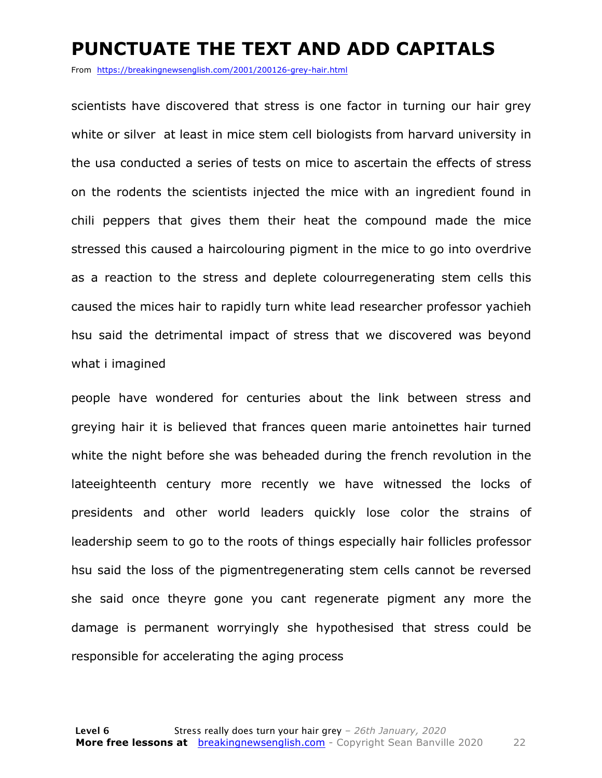#### **PUNCTUATE THE TEXT AND ADD CAPITALS**

From https://breakingnewsenglish.com/2001/200126-grey-hair.html

scientists have discovered that stress is one factor in turning our hair grey white or silver at least in mice stem cell biologists from harvard university in the usa conducted a series of tests on mice to ascertain the effects of stress on the rodents the scientists injected the mice with an ingredient found in chili peppers that gives them their heat the compound made the mice stressed this caused a haircolouring pigment in the mice to go into overdrive as a reaction to the stress and deplete colourregenerating stem cells this caused the mices hair to rapidly turn white lead researcher professor yachieh hsu said the detrimental impact of stress that we discovered was beyond what i imagined

people have wondered for centuries about the link between stress and greying hair it is believed that frances queen marie antoinettes hair turned white the night before she was beheaded during the french revolution in the lateeighteenth century more recently we have witnessed the locks of presidents and other world leaders quickly lose color the strains of leadership seem to go to the roots of things especially hair follicles professor hsu said the loss of the pigmentregenerating stem cells cannot be reversed she said once theyre gone you cant regenerate pigment any more the damage is permanent worryingly she hypothesised that stress could be responsible for accelerating the aging process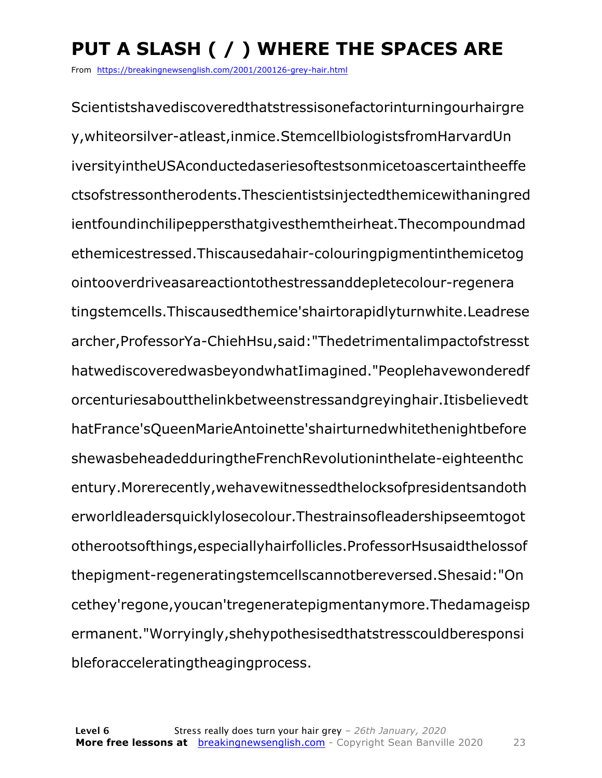### **PUT A SLASH ( / ) WHERE THE SPACES ARE**

From https://breakingnewsenglish.com/2001/200126-grey-hair.html

Scientistshavediscoveredthatstressisonefactorinturningourhairgre y,whiteorsilver-atleast,inmice.StemcellbiologistsfromHarvardUn iversityintheUSAconductedaseriesoftestsonmicetoascertaintheeffe ctsofstressontherodents.Thescientistsinjectedthemicewithaningred ientfoundinchilipeppersthatgivesthemtheirheat.Thecompoundmad ethemicestressed.Thiscausedahair-colouringpigmentinthemicetog ointooverdriveasareactiontothestressanddepletecolour-regenera tingstemcells.Thiscausedthemice'shairtorapidlyturnwhite.Leadrese archer,ProfessorYa-ChiehHsu,said:"Thedetrimentalimpactofstresst hatwediscoveredwasbeyondwhatIimagined."Peoplehavewonderedf orcenturiesaboutthelinkbetweenstressandgreyinghair.Itisbelievedt hatFrance'sQueenMarieAntoinette'shairturnedwhitethenightbefore shewasbeheadedduringtheFrenchRevolutioninthelate-eighteenthc entury.Morerecently,wehavewitnessedthelocksofpresidentsandoth erworldleadersquicklylosecolour.Thestrainsofleadershipseemtogot otherootsofthings,especiallyhairfollicles.ProfessorHsusaidthelossof thepigment-regeneratingstemcellscannotbereversed.Shesaid:"On cethey'regone,youcan'tregeneratepigmentanymore.Thedamageisp ermanent."Worryingly,shehypothesisedthatstresscouldberesponsi bleforacceleratingtheagingprocess.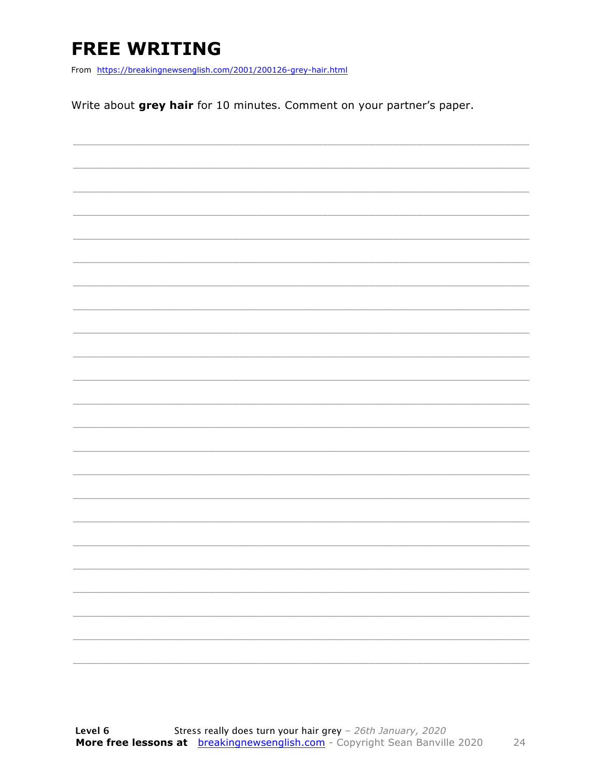### **FREE WRITING**

From https://breakingnewsenglish.com/2001/200126-grey-hair.html

Write about grey hair for 10 minutes. Comment on your partner's paper.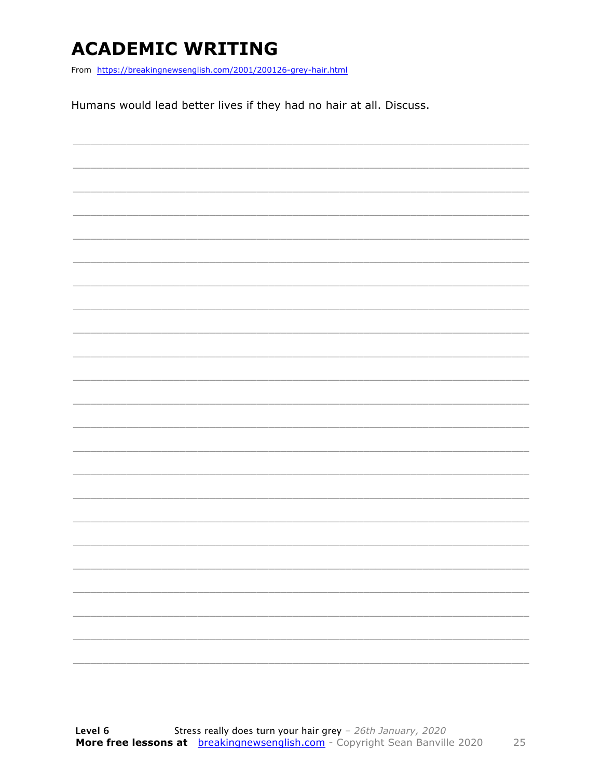### **ACADEMIC WRITING**

From https://breakingnewsenglish.com/2001/200126-grey-hair.html

Humans would lead better lives if they had no hair at all. Discuss.

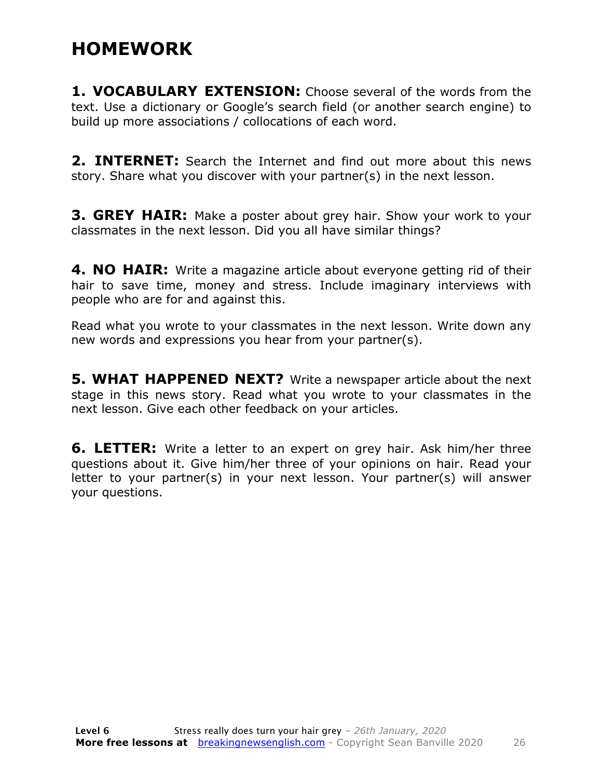### **HOMEWORK**

**1. VOCABULARY EXTENSION:** Choose several of the words from the text. Use a dictionary or Google's search field (or another search engine) to build up more associations / collocations of each word.

**2. INTERNET:** Search the Internet and find out more about this news story. Share what you discover with your partner(s) in the next lesson.

**3. GREY HAIR:** Make a poster about grey hair. Show your work to your classmates in the next lesson. Did you all have similar things?

**4. NO HAIR:** Write a magazine article about everyone getting rid of their hair to save time, money and stress. Include imaginary interviews with people who are for and against this.

Read what you wrote to your classmates in the next lesson. Write down any new words and expressions you hear from your partner(s).

**5. WHAT HAPPENED NEXT?** Write a newspaper article about the next stage in this news story. Read what you wrote to your classmates in the next lesson. Give each other feedback on your articles.

**6. LETTER:** Write a letter to an expert on grey hair. Ask him/her three questions about it. Give him/her three of your opinions on hair. Read your letter to your partner(s) in your next lesson. Your partner(s) will answer your questions.